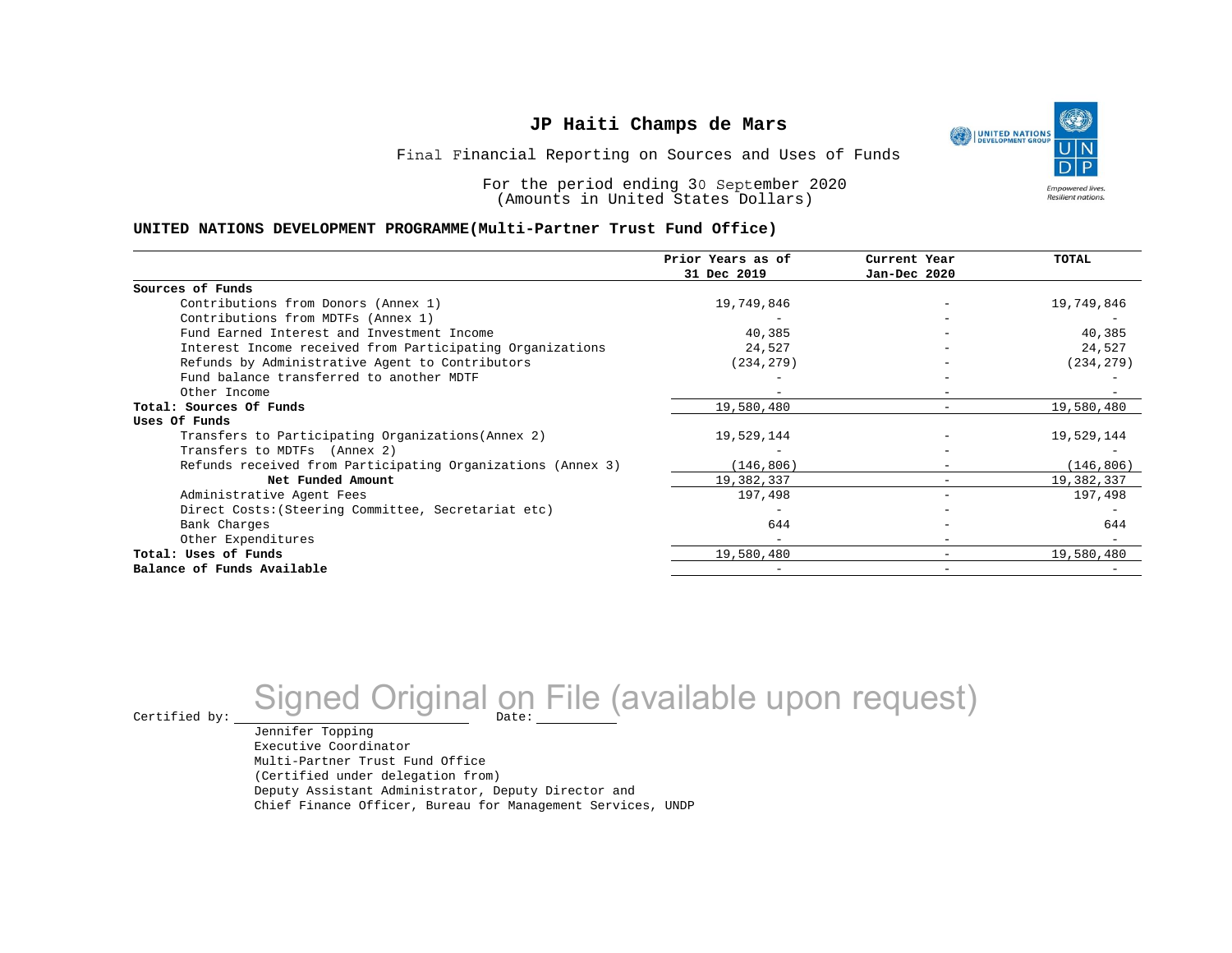

Final Financial Reporting on Sources and Uses of Funds

For the period ending 30 September 2020 (Amounts in United States Dollars)

#### **UNITED NATIONS DEVELOPMENT PROGRAMME(Multi-Partner Trust Fund Office)**

|                                                             | Prior Years as of<br>31 Dec 2019 | Current Year<br>Jan-Dec 2020 | <b>TOTAL</b> |
|-------------------------------------------------------------|----------------------------------|------------------------------|--------------|
|                                                             |                                  |                              |              |
| Sources of Funds                                            |                                  |                              |              |
| Contributions from Donors (Annex 1)                         | 19,749,846                       |                              | 19,749,846   |
| Contributions from MDTFs (Annex 1)                          |                                  |                              |              |
| Fund Earned Interest and Investment Income                  | 40,385                           |                              | 40,385       |
| Interest Income received from Participating Organizations   | 24,527                           |                              | 24,527       |
| Refunds by Administrative Agent to Contributors             | (234, 279)                       |                              | (234, 279)   |
| Fund balance transferred to another MDTF                    |                                  |                              |              |
| Other Income                                                |                                  |                              |              |
| Total: Sources Of Funds                                     | 19,580,480                       |                              | 19,580,480   |
| Uses Of Funds                                               |                                  |                              |              |
| Transfers to Participating Organizations (Annex 2)          | 19,529,144                       |                              | 19,529,144   |
| Transfers to MDTFs (Annex 2)                                |                                  |                              |              |
| Refunds received from Participating Organizations (Annex 3) | (146, 806)                       | $\overline{\phantom{a}}$     | (146, 806)   |
| Net Funded Amount                                           | 19,382,337                       |                              | 19,382,337   |
| Administrative Agent Fees                                   | 197,498                          | $\overline{\phantom{0}}$     | 197,498      |
| Direct Costs: (Steering Committee, Secretariat etc)         |                                  |                              |              |
| Bank Charges                                                | 644                              |                              | 644          |
| Other Expenditures                                          |                                  |                              |              |
| Total: Uses of Funds                                        | 19,580,480                       |                              | 19,580,480   |
| Balance of Funds Available                                  |                                  |                              |              |

# Certified by: Signed Original on File (available upon request)

Jennifer Topping Executive Coordinator Multi-Partner Trust Fund Office (Certified under delegation from) Deputy Assistant Administrator, Deputy Director and Chief Finance Officer, Bureau for Management Services, UNDP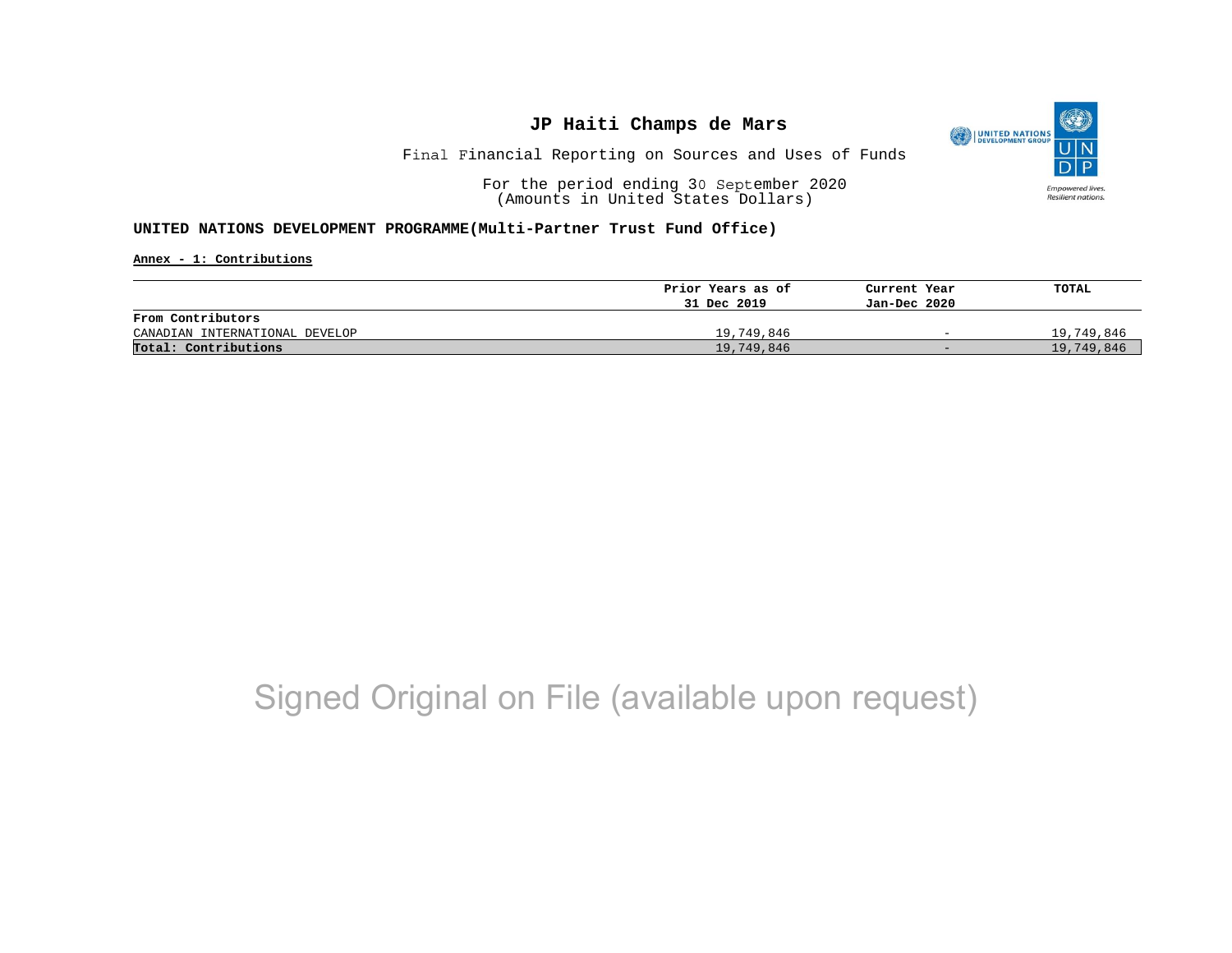

Final Financial Reporting on Sources and Uses of Funds

For the period ending 30 September 2020 (Amounts in United States Dollars)

#### **UNITED NATIONS DEVELOPMENT PROGRAMME(Multi-Partner Trust Fund Office)**

**Annex - 1: Contributions**

|                                | Prior Years as of | Current Year             | TOTAL      |
|--------------------------------|-------------------|--------------------------|------------|
|                                | 31 Dec 2019       | Jan-Dec 2020             |            |
| From Contributors              |                   |                          |            |
| CANADIAN INTERNATIONAL DEVELOP | 19,749,846        | $\overline{\phantom{0}}$ | 19,749,846 |
| Total: Contributions           | 19,749,846        | $-$                      | 19,749,846 |

## Signed Original on File (available upon request)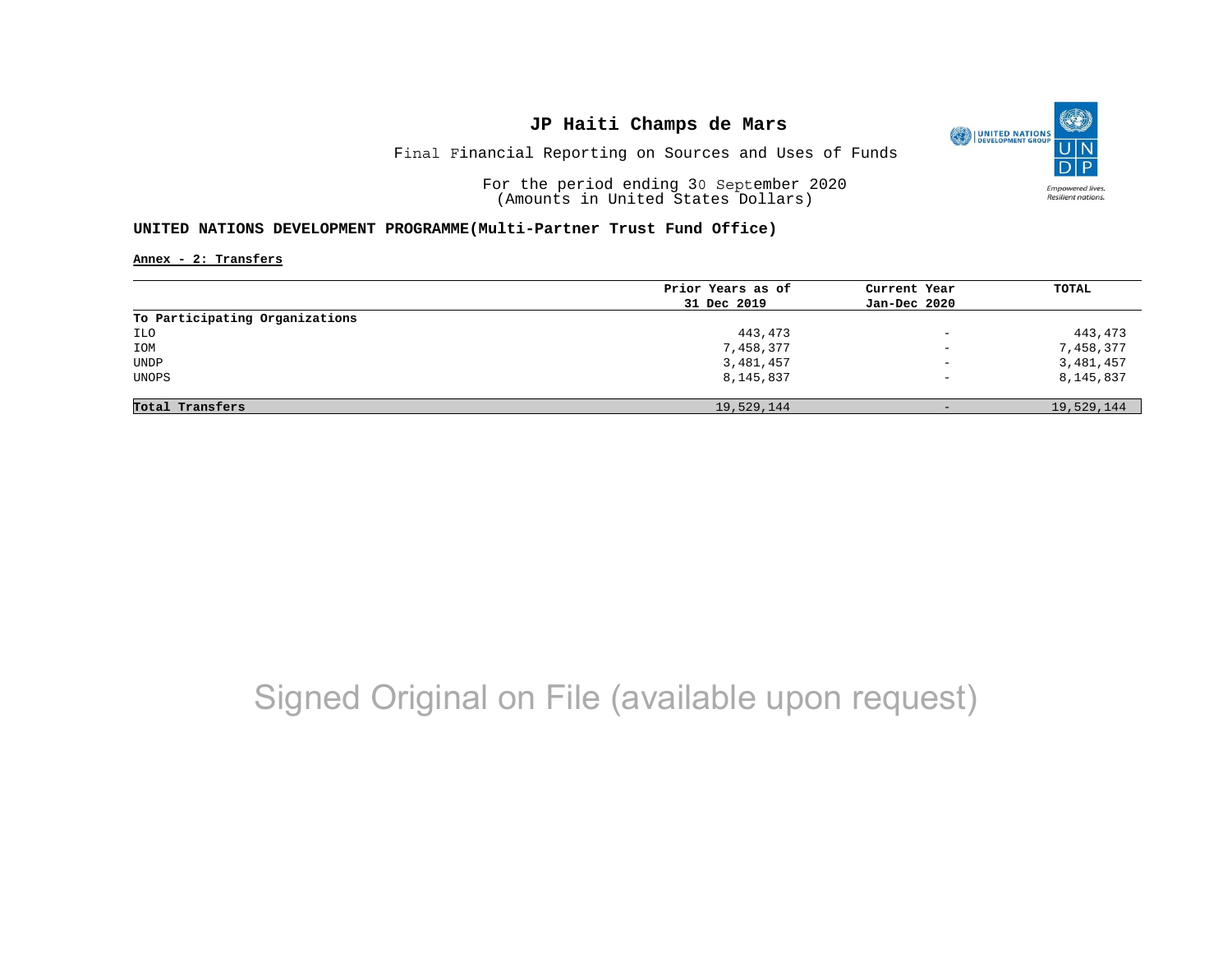

Final Financial Reporting on Sources and Uses of Funds

For the period ending 30 September 2020 (Amounts in United States Dollars)

#### **UNITED NATIONS DEVELOPMENT PROGRAMME(Multi-Partner Trust Fund Office)**

**Annex - 2: Transfers**

|                                | Prior Years as of | Current Year             | <b>TOTAL</b> |
|--------------------------------|-------------------|--------------------------|--------------|
|                                | 31 Dec 2019       | Jan-Dec 2020             |              |
| To Participating Organizations |                   |                          |              |
| ILO                            | 443,473           | $\overline{\phantom{a}}$ | 443,473      |
| IOM                            | 7,458,377         | $\overline{\phantom{0}}$ | 7,458,377    |
| <b>UNDP</b>                    | 3,481,457         | $\qquad \qquad -$        | 3,481,457    |
| UNOPS                          | 8,145,837         | $\qquad \qquad -$        | 8,145,837    |
|                                |                   |                          |              |
| Total Transfers                | 19,529,144        | $-$                      | 19,529,144   |

## Signed Original on File (available upon request)